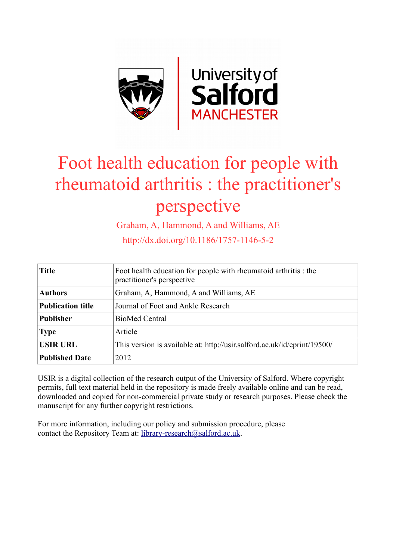

# Foot health education for people with rheumatoid arthritis : the practitioner's perspective

Graham, A, Hammond, A and Williams, AE

http://dx.doi.org/10.1186/1757-1146-5-2

| <b>Title</b>             | Foot health education for people with rheumatoid arthritis : the<br>practitioner's perspective |  |  |
|--------------------------|------------------------------------------------------------------------------------------------|--|--|
| <b>Authors</b>           | Graham, A, Hammond, A and Williams, AE                                                         |  |  |
| <b>Publication title</b> | Journal of Foot and Ankle Research                                                             |  |  |
| <b>Publisher</b>         | <b>BioMed Central</b>                                                                          |  |  |
| <b>Type</b>              | Article                                                                                        |  |  |
| <b>USIR URL</b>          | This version is available at: http://usir.salford.ac.uk/id/eprint/19500/                       |  |  |
| <b>Published Date</b>    | 2012                                                                                           |  |  |

USIR is a digital collection of the research output of the University of Salford. Where copyright permits, full text material held in the repository is made freely available online and can be read, downloaded and copied for non-commercial private study or research purposes. Please check the manuscript for any further copyright restrictions.

For more information, including our policy and submission procedure, please contact the Repository Team at: [library-research@salford.ac.uk.](mailto:library-research@salford.ac.uk)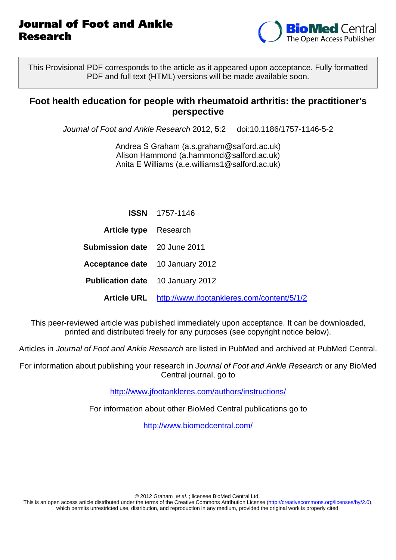

This Provisional PDF corresponds to the article as it appeared upon acceptance. Fully formatted PDF and full text (HTML) versions will be made available soon.

### **Foot health education for people with rheumatoid arthritis: the practitioner's perspective**

Journal of Foot and Ankle Research 2012, **5**:2 doi:10.1186/1757-1146-5-2

Andrea S Graham ([a.s.graham@salford.ac.uk\)](mailto:a.s.graham@salford.ac.uk) Alison Hammond [\(a.hammond@salford.ac.uk\)](mailto:a.hammond@salford.ac.uk) Anita E Williams [\(a.e.williams1@salford.ac.uk](mailto:a.e.williams1@salford.ac.uk))

|                                         | <b>ISSN</b> 1757-1146                                  |
|-----------------------------------------|--------------------------------------------------------|
| <b>Article type</b> Research            |                                                        |
| <b>Submission date</b> 20 June 2011     |                                                        |
| <b>Acceptance date</b> 10 January 2012  |                                                        |
| <b>Publication date</b> 10 January 2012 |                                                        |
|                                         | Article URL http://www.jfootankleres.com/content/5/1/2 |

This peer-reviewed article was published immediately upon acceptance. It can be downloaded, printed and distributed freely for any purposes (see copyright notice below).

Articles in Journal of Foot and Ankle Research are listed in PubMed and archived at PubMed Central.

For information about publishing your research in Journal of Foot and Ankle Research or any BioMed Central journal, go to

<http://www.jfootankleres.com/authors/instructions/>

For information about other BioMed Central publications go to

<http://www.biomedcentral.com/>

© 2012 Graham et al. ; licensee BioMed Central Ltd.

This is an open access article distributed under the terms of the Creative Commons Attribution License [\(http://creativecommons.org/licenses/by/2.0](http://creativecommons.org/licenses/by/2.0)), which permits unrestricted use, distribution, and reproduction in any medium, provided the original work is properly cited.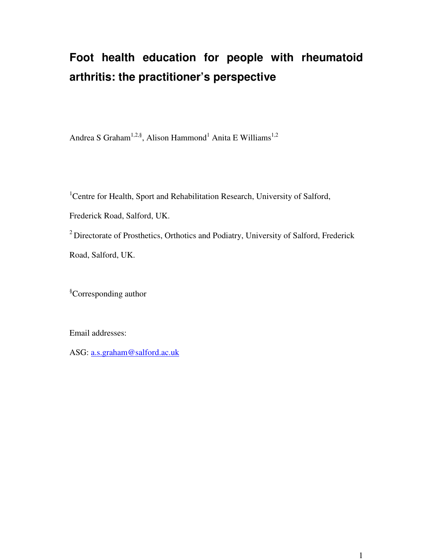# **Foot health education for people with rheumatoid arthritis: the practitioner's perspective**

Andrea S Graham<sup>1,2,§</sup>, Alison Hammond<sup>1</sup> Anita E Williams<sup>1,2</sup>

<sup>1</sup>Centre for Health, Sport and Rehabilitation Research, University of Salford, Frederick Road, Salford, UK. <sup>2</sup> Directorate of Prosthetics, Orthotics and Podiatry, University of Salford, Frederick Road, Salford, UK.

§Corresponding author

Email addresses:

ASG: a.s.graham@salford.ac.uk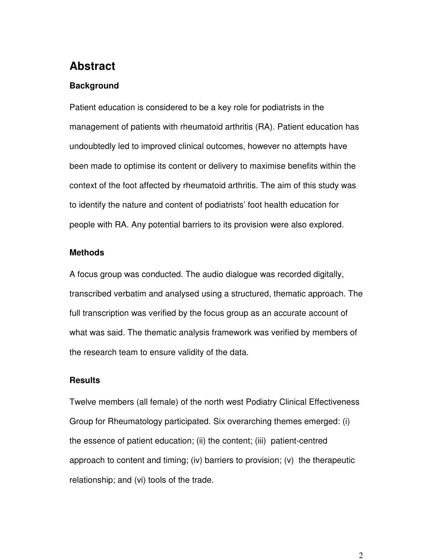# **Abstract**

#### **Background**

Patient education is considered to be a key role for podiatrists in the management of patients with rheumatoid arthritis (RA). Patient education has undoubtedly led to improved clinical outcomes, however no attempts have been made to optimise its content or delivery to maximise benefits within the context of the foot affected by rheumatoid arthritis. The aim of this study was to identify the nature and content of podiatrists' foot health education for people with RA. Any potential barriers to its provision were also explored.

#### **Methods**

A focus group was conducted. The audio dialogue was recorded digitally, transcribed verbatim and analysed using a structured, thematic approach. The full transcription was verified by the focus group as an accurate account of what was said. The thematic analysis framework was verified by members of the research team to ensure validity of the data.

#### **Results**

Twelve members (all female) of the north west Podiatry Clinical Effectiveness Group for Rheumatology participated. Six overarching themes emerged: (i) the essence of patient education; (ii) the content; (iii) patient-centred approach to content and timing; (iv) barriers to provision; (v) the therapeutic relationship; and (vi) tools of the trade.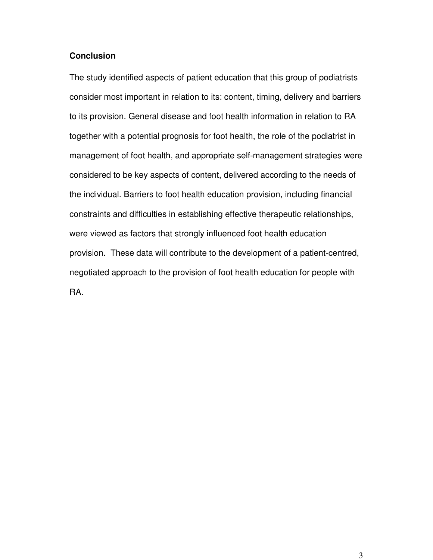#### **Conclusion**

The study identified aspects of patient education that this group of podiatrists consider most important in relation to its: content, timing, delivery and barriers to its provision. General disease and foot health information in relation to RA together with a potential prognosis for foot health, the role of the podiatrist in management of foot health, and appropriate self-management strategies were considered to be key aspects of content, delivered according to the needs of the individual. Barriers to foot health education provision, including financial constraints and difficulties in establishing effective therapeutic relationships, were viewed as factors that strongly influenced foot health education provision. These data will contribute to the development of a patient-centred, negotiated approach to the provision of foot health education for people with RA.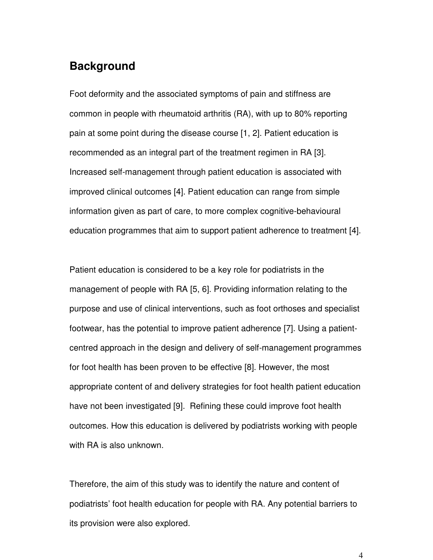### **Background**

Foot deformity and the associated symptoms of pain and stiffness are common in people with rheumatoid arthritis (RA), with up to 80% reporting pain at some point during the disease course [1, 2]. Patient education is recommended as an integral part of the treatment regimen in RA [3]. Increased self-management through patient education is associated with improved clinical outcomes [4]. Patient education can range from simple information given as part of care, to more complex cognitive-behavioural education programmes that aim to support patient adherence to treatment [4].

Patient education is considered to be a key role for podiatrists in the management of people with RA [5, 6]. Providing information relating to the purpose and use of clinical interventions, such as foot orthoses and specialist footwear, has the potential to improve patient adherence [7]. Using a patientcentred approach in the design and delivery of self-management programmes for foot health has been proven to be effective [8]. However, the most appropriate content of and delivery strategies for foot health patient education have not been investigated [9]. Refining these could improve foot health outcomes. How this education is delivered by podiatrists working with people with RA is also unknown.

Therefore, the aim of this study was to identify the nature and content of podiatrists' foot health education for people with RA. Any potential barriers to its provision were also explored.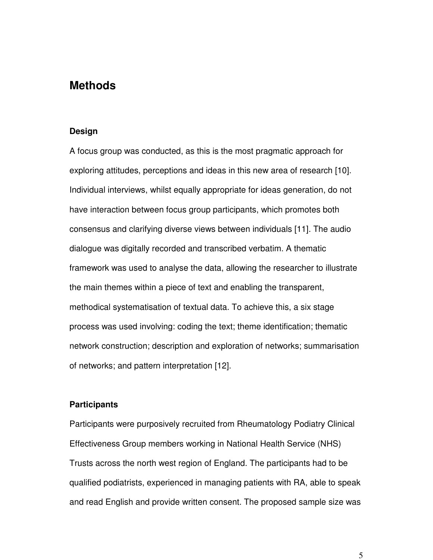### **Methods**

#### **Design**

A focus group was conducted, as this is the most pragmatic approach for exploring attitudes, perceptions and ideas in this new area of research [10]. Individual interviews, whilst equally appropriate for ideas generation, do not have interaction between focus group participants, which promotes both consensus and clarifying diverse views between individuals [11]. The audio dialogue was digitally recorded and transcribed verbatim. A thematic framework was used to analyse the data, allowing the researcher to illustrate the main themes within a piece of text and enabling the transparent, methodical systematisation of textual data. To achieve this, a six stage process was used involving: coding the text; theme identification; thematic network construction; description and exploration of networks; summarisation of networks; and pattern interpretation [12].

#### **Participants**

Participants were purposively recruited from Rheumatology Podiatry Clinical Effectiveness Group members working in National Health Service (NHS) Trusts across the north west region of England. The participants had to be qualified podiatrists, experienced in managing patients with RA, able to speak and read English and provide written consent. The proposed sample size was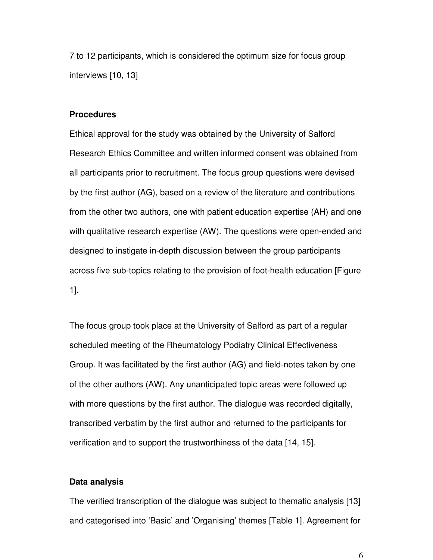7 to 12 participants, which is considered the optimum size for focus group interviews [10, 13]

#### **Procedures**

Ethical approval for the study was obtained by the University of Salford Research Ethics Committee and written informed consent was obtained from all participants prior to recruitment. The focus group questions were devised by the first author (AG), based on a review of the literature and contributions from the other two authors, one with patient education expertise (AH) and one with qualitative research expertise (AW). The questions were open-ended and designed to instigate in-depth discussion between the group participants across five sub-topics relating to the provision of foot-health education [Figure 1].

The focus group took place at the University of Salford as part of a regular scheduled meeting of the Rheumatology Podiatry Clinical Effectiveness Group. It was facilitated by the first author (AG) and field-notes taken by one of the other authors (AW). Any unanticipated topic areas were followed up with more questions by the first author. The dialogue was recorded digitally, transcribed verbatim by the first author and returned to the participants for verification and to support the trustworthiness of the data [14, 15].

#### **Data analysis**

The verified transcription of the dialogue was subject to thematic analysis [13] and categorised into 'Basic' and 'Organising' themes [Table 1]. Agreement for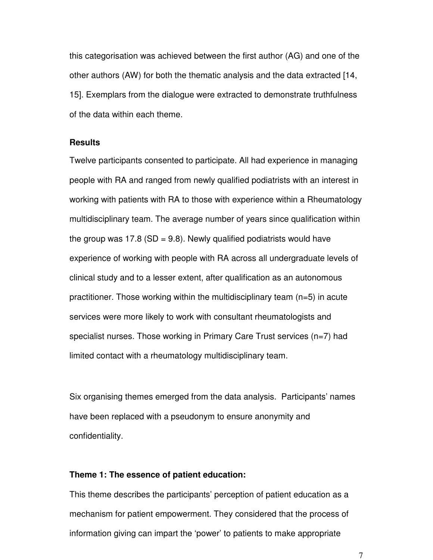this categorisation was achieved between the first author (AG) and one of the other authors (AW) for both the thematic analysis and the data extracted [14, 15]. Exemplars from the dialogue were extracted to demonstrate truthfulness of the data within each theme.

#### **Results**

Twelve participants consented to participate. All had experience in managing people with RA and ranged from newly qualified podiatrists with an interest in working with patients with RA to those with experience within a Rheumatology multidisciplinary team. The average number of years since qualification within the group was 17.8 (SD = 9.8). Newly qualified podiatrists would have experience of working with people with RA across all undergraduate levels of clinical study and to a lesser extent, after qualification as an autonomous practitioner. Those working within the multidisciplinary team (n=5) in acute services were more likely to work with consultant rheumatologists and specialist nurses. Those working in Primary Care Trust services (n=7) had limited contact with a rheumatology multidisciplinary team.

Six organising themes emerged from the data analysis. Participants' names have been replaced with a pseudonym to ensure anonymity and confidentiality.

#### **Theme 1: The essence of patient education:**

This theme describes the participants' perception of patient education as a mechanism for patient empowerment. They considered that the process of information giving can impart the 'power' to patients to make appropriate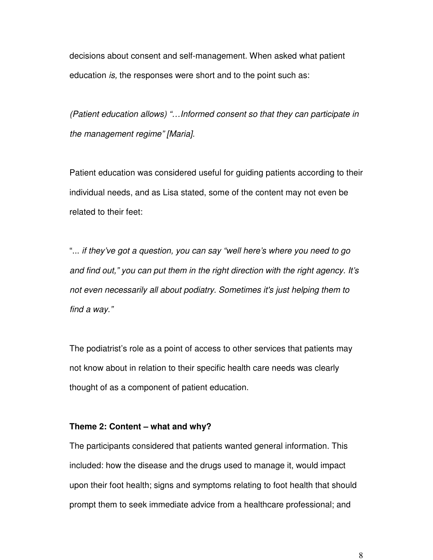decisions about consent and self-management. When asked what patient education *is,* the responses were short and to the point such as:

*(Patient education allows) "…Informed consent so that they can participate in the management regime" [Maria].* 

Patient education was considered useful for guiding patients according to their individual needs, and as Lisa stated, some of the content may not even be related to their feet:

"... *if they've got a question, you can say "well here's where you need to go and find out," you can put them in the right direction with the right agency. It's not even necessarily all about podiatry. Sometimes it's just helping them to find a way."* 

The podiatrist's role as a point of access to other services that patients may not know about in relation to their specific health care needs was clearly thought of as a component of patient education.

#### **Theme 2: Content – what and why?**

The participants considered that patients wanted general information. This included: how the disease and the drugs used to manage it, would impact upon their foot health; signs and symptoms relating to foot health that should prompt them to seek immediate advice from a healthcare professional; and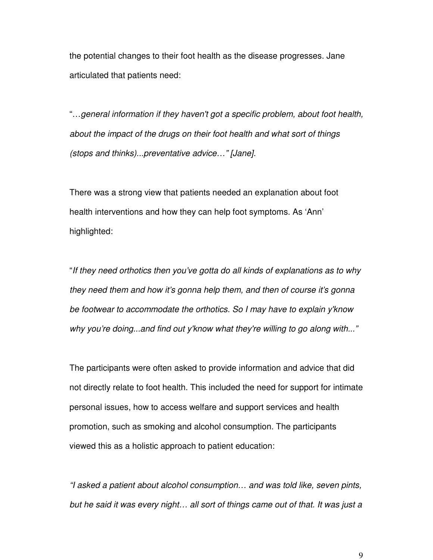the potential changes to their foot health as the disease progresses. Jane articulated that patients need:

"…*general information if they haven't got a specific problem, about foot health, about the impact of the drugs on their foot health and what sort of things (stops and thinks)...preventative advice…" [Jane].* 

There was a strong view that patients needed an explanation about foot health interventions and how they can help foot symptoms. As 'Ann' highlighted:

"*If they need orthotics then you've gotta do all kinds of explanations as to why they need them and how it's gonna help them, and then of course it's gonna be footwear to accommodate the orthotics. So I may have to explain y'know why you're doing...and find out y'know what they're willing to go along with..."*

The participants were often asked to provide information and advice that did not directly relate to foot health. This included the need for support for intimate personal issues, how to access welfare and support services and health promotion, such as smoking and alcohol consumption. The participants viewed this as a holistic approach to patient education:

*"I asked a patient about alcohol consumption… and was told like, seven pints, but he said it was every night… all sort of things came out of that. It was just a*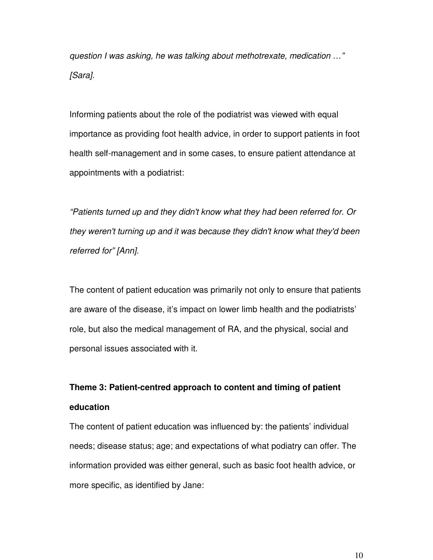*question I was asking, he was talking about methotrexate, medication …" [Sara].*

Informing patients about the role of the podiatrist was viewed with equal importance as providing foot health advice, in order to support patients in foot health self-management and in some cases, to ensure patient attendance at appointments with a podiatrist:

*"Patients turned up and they didn't know what they had been referred for. Or they weren't turning up and it was because they didn't know what they'd been referred for" [Ann].*

The content of patient education was primarily not only to ensure that patients are aware of the disease, it's impact on lower limb health and the podiatrists' role, but also the medical management of RA, and the physical, social and personal issues associated with it.

# **Theme 3: Patient-centred approach to content and timing of patient education**

The content of patient education was influenced by: the patients' individual needs; disease status; age; and expectations of what podiatry can offer. The information provided was either general, such as basic foot health advice, or more specific, as identified by Jane: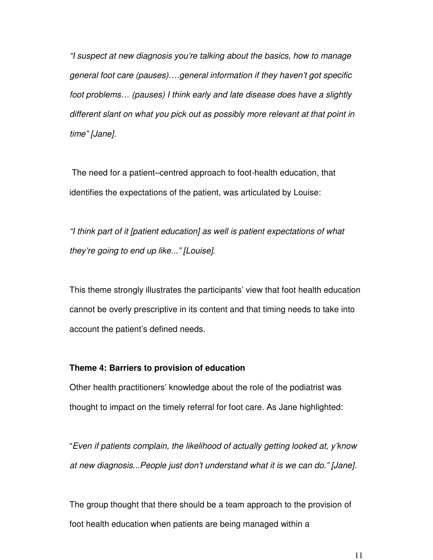*"I suspect at new diagnosis you're talking about the basics, how to manage general foot care (pauses)….general information if they haven't got specific foot problems… (pauses) I think early and late disease does have a slightly different slant on what you pick out as possibly more relevant at that point in time" [Jane].*

 The need for a patient–centred approach to foot-health education, that identifies the expectations of the patient, was articulated by Louise:

*"I think part of it [patient education] as well is patient expectations of what they're going to end up like..." [Louise].*

This theme strongly illustrates the participants' view that foot health education cannot be overly prescriptive in its content and that timing needs to take into account the patient's defined needs.

#### **Theme 4: Barriers to provision of education**

Other health practitioners' knowledge about the role of the podiatrist was thought to impact on the timely referral for foot care. As Jane highlighted:

"*Even if patients complain, the likelihood of actually getting looked at, y'know at new diagnosis...People just don't understand what it is we can do." [Jane].*

The group thought that there should be a team approach to the provision of foot health education when patients are being managed within a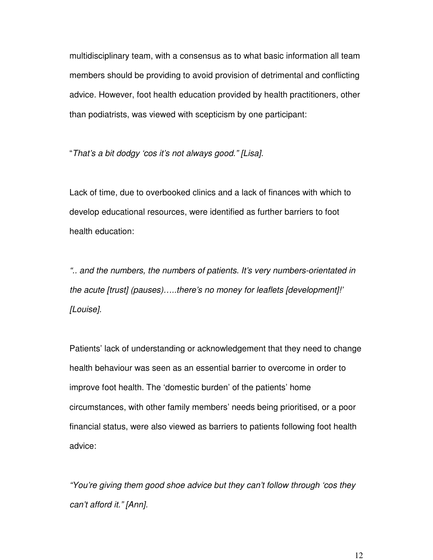multidisciplinary team, with a consensus as to what basic information all team members should be providing to avoid provision of detrimental and conflicting advice. However, foot health education provided by health practitioners, other than podiatrists, was viewed with scepticism by one participant:

"*That's a bit dodgy 'cos it's not always good." [Lisa].*

Lack of time, due to overbooked clinics and a lack of finances with which to develop educational resources, were identified as further barriers to foot health education:

*".. and the numbers, the numbers of patients. It's very numbers-orientated in the acute [trust] (pauses)…..there's no money for leaflets [development]!' [Louise].*

Patients' lack of understanding or acknowledgement that they need to change health behaviour was seen as an essential barrier to overcome in order to improve foot health. The 'domestic burden' of the patients' home circumstances, with other family members' needs being prioritised, or a poor financial status, were also viewed as barriers to patients following foot health advice:

*"You're giving them good shoe advice but they can't follow through 'cos they can't afford it." [Ann].*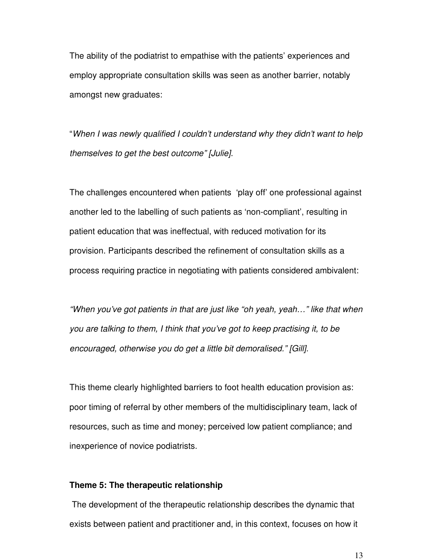The ability of the podiatrist to empathise with the patients' experiences and employ appropriate consultation skills was seen as another barrier, notably amongst new graduates:

"*When I was newly qualified I couldn't understand why they didn't want to help themselves to get the best outcome" [Julie].*

The challenges encountered when patients 'play off' one professional against another led to the labelling of such patients as 'non-compliant', resulting in patient education that was ineffectual, with reduced motivation for its provision. Participants described the refinement of consultation skills as a process requiring practice in negotiating with patients considered ambivalent:

*"When you've got patients in that are just like "oh yeah, yeah…" like that when you are talking to them, I think that you've got to keep practising it, to be encouraged, otherwise you do get a little bit demoralised." [Gill].*

This theme clearly highlighted barriers to foot health education provision as: poor timing of referral by other members of the multidisciplinary team, lack of resources, such as time and money; perceived low patient compliance; and inexperience of novice podiatrists.

#### **Theme 5: The therapeutic relationship**

The development of the therapeutic relationship describes the dynamic that exists between patient and practitioner and, in this context, focuses on how it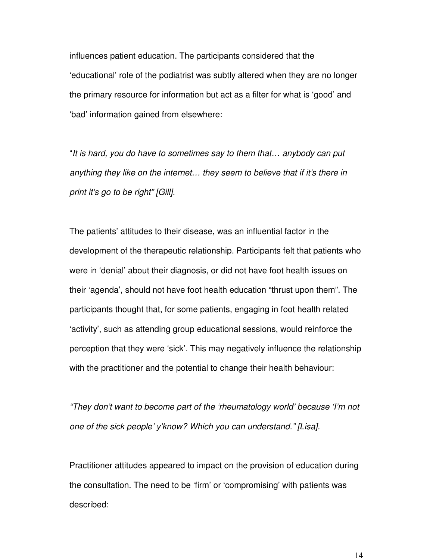influences patient education. The participants considered that the 'educational' role of the podiatrist was subtly altered when they are no longer the primary resource for information but act as a filter for what is 'good' and 'bad' information gained from elsewhere:

"*It is hard, you do have to sometimes say to them that… anybody can put anything they like on the internet… they seem to believe that if it's there in print it's go to be right" [Gill].*

The patients' attitudes to their disease, was an influential factor in the development of the therapeutic relationship. Participants felt that patients who were in 'denial' about their diagnosis, or did not have foot health issues on their 'agenda', should not have foot health education "thrust upon them". The participants thought that, for some patients, engaging in foot health related 'activity', such as attending group educational sessions, would reinforce the perception that they were 'sick'. This may negatively influence the relationship with the practitioner and the potential to change their health behaviour:

*"They don't want to become part of the 'rheumatology world' because 'I'm not one of the sick people' y'know? Which you can understand." [Lisa].* 

Practitioner attitudes appeared to impact on the provision of education during the consultation. The need to be 'firm' or 'compromising' with patients was described: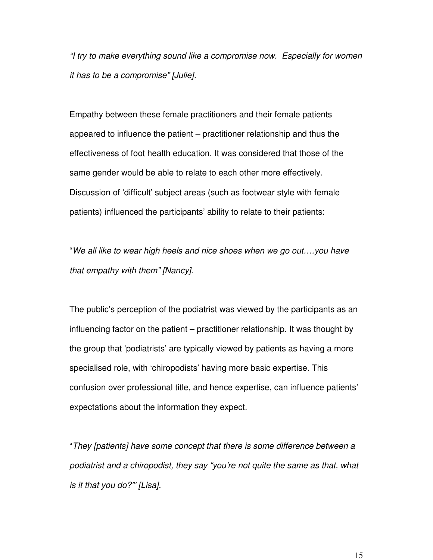*"I try to make everything sound like a compromise now. Especially for women it has to be a compromise" [Julie].*

Empathy between these female practitioners and their female patients appeared to influence the patient – practitioner relationship and thus the effectiveness of foot health education. It was considered that those of the same gender would be able to relate to each other more effectively. Discussion of 'difficult' subject areas (such as footwear style with female patients) influenced the participants' ability to relate to their patients:

"*We all like to wear high heels and nice shoes when we go out….you have that empathy with them" [Nancy].*

The public's perception of the podiatrist was viewed by the participants as an influencing factor on the patient – practitioner relationship. It was thought by the group that 'podiatrists' are typically viewed by patients as having a more specialised role, with 'chiropodists' having more basic expertise. This confusion over professional title, and hence expertise, can influence patients' expectations about the information they expect.

"*They [patients] have some concept that there is some difference between a podiatrist and a chiropodist, they say "you're not quite the same as that, what is it that you do?"' [Lisa].*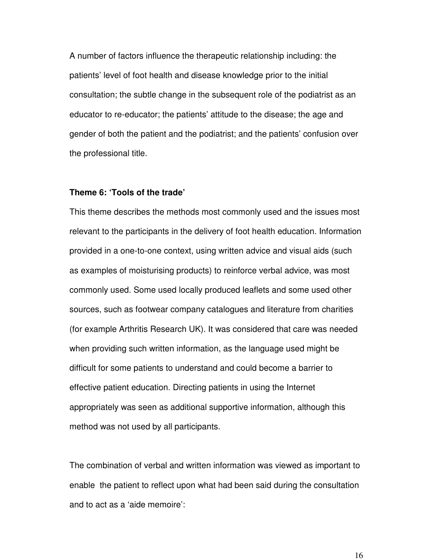A number of factors influence the therapeutic relationship including: the patients' level of foot health and disease knowledge prior to the initial consultation; the subtle change in the subsequent role of the podiatrist as an educator to re-educator; the patients' attitude to the disease; the age and gender of both the patient and the podiatrist; and the patients' confusion over the professional title.

#### **Theme 6: 'Tools of the trade'**

This theme describes the methods most commonly used and the issues most relevant to the participants in the delivery of foot health education. Information provided in a one-to-one context, using written advice and visual aids (such as examples of moisturising products) to reinforce verbal advice, was most commonly used. Some used locally produced leaflets and some used other sources, such as footwear company catalogues and literature from charities (for example Arthritis Research UK). It was considered that care was needed when providing such written information, as the language used might be difficult for some patients to understand and could become a barrier to effective patient education. Directing patients in using the Internet appropriately was seen as additional supportive information, although this method was not used by all participants.

The combination of verbal and written information was viewed as important to enable the patient to reflect upon what had been said during the consultation and to act as a 'aide memoire':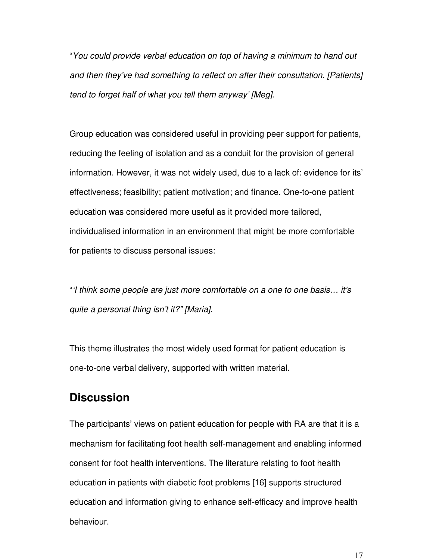"*You could provide verbal education on top of having a minimum to hand out and then they've had something to reflect on after their consultation. [Patients] tend to forget half of what you tell them anyway' [Meg].*

Group education was considered useful in providing peer support for patients, reducing the feeling of isolation and as a conduit for the provision of general information. However, it was not widely used, due to a lack of: evidence for its' effectiveness; feasibility; patient motivation; and finance*.* One-to-one patient education was considered more useful as it provided more tailored, individualised information in an environment that might be more comfortable for patients to discuss personal issues:

"*'I think some people are just more comfortable on a one to one basis… it's quite a personal thing isn't it?" [Maria].*

This theme illustrates the most widely used format for patient education is one-to-one verbal delivery, supported with written material.

## **Discussion**

The participants' views on patient education for people with RA are that it is a mechanism for facilitating foot health self-management and enabling informed consent for foot health interventions. The literature relating to foot health education in patients with diabetic foot problems [16] supports structured education and information giving to enhance self-efficacy and improve health behaviour.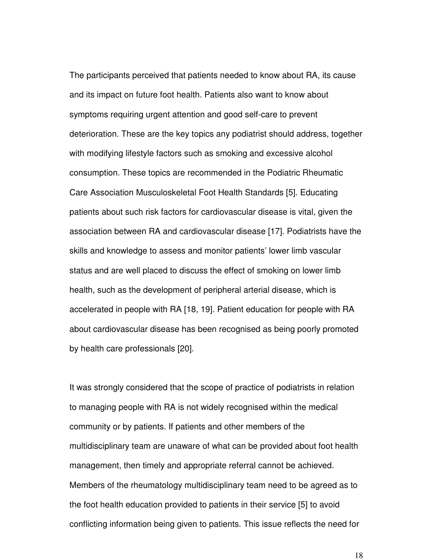The participants perceived that patients needed to know about RA, its cause and its impact on future foot health. Patients also want to know about symptoms requiring urgent attention and good self-care to prevent deterioration. These are the key topics any podiatrist should address, together with modifying lifestyle factors such as smoking and excessive alcohol consumption. These topics are recommended in the Podiatric Rheumatic Care Association Musculoskeletal Foot Health Standards [5]. Educating patients about such risk factors for cardiovascular disease is vital, given the association between RA and cardiovascular disease [17]. Podiatrists have the skills and knowledge to assess and monitor patients' lower limb vascular status and are well placed to discuss the effect of smoking on lower limb health, such as the development of peripheral arterial disease, which is accelerated in people with RA [18, 19]. Patient education for people with RA about cardiovascular disease has been recognised as being poorly promoted by health care professionals [20].

It was strongly considered that the scope of practice of podiatrists in relation to managing people with RA is not widely recognised within the medical community or by patients. If patients and other members of the multidisciplinary team are unaware of what can be provided about foot health management, then timely and appropriate referral cannot be achieved. Members of the rheumatology multidisciplinary team need to be agreed as to the foot health education provided to patients in their service [5] to avoid conflicting information being given to patients. This issue reflects the need for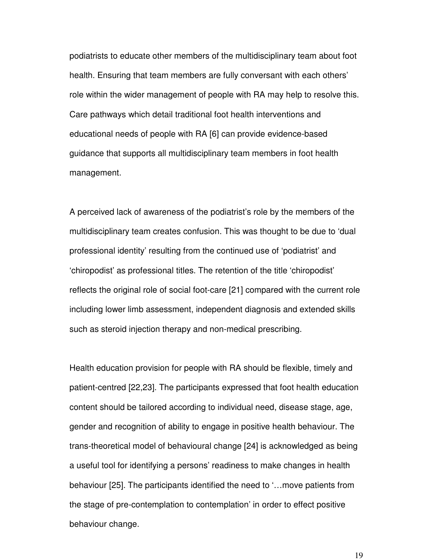podiatrists to educate other members of the multidisciplinary team about foot health. Ensuring that team members are fully conversant with each others' role within the wider management of people with RA may help to resolve this. Care pathways which detail traditional foot health interventions and educational needs of people with RA [6] can provide evidence-based guidance that supports all multidisciplinary team members in foot health management.

A perceived lack of awareness of the podiatrist's role by the members of the multidisciplinary team creates confusion. This was thought to be due to 'dual professional identity' resulting from the continued use of 'podiatrist' and 'chiropodist' as professional titles. The retention of the title 'chiropodist' reflects the original role of social foot-care [21] compared with the current role including lower limb assessment, independent diagnosis and extended skills such as steroid injection therapy and non-medical prescribing.

Health education provision for people with RA should be flexible, timely and patient-centred [22,23]. The participants expressed that foot health education content should be tailored according to individual need, disease stage, age, gender and recognition of ability to engage in positive health behaviour. The trans-theoretical model of behavioural change [24] is acknowledged as being a useful tool for identifying a persons' readiness to make changes in health behaviour [25]. The participants identified the need to '…move patients from the stage of pre-contemplation to contemplation' in order to effect positive behaviour change.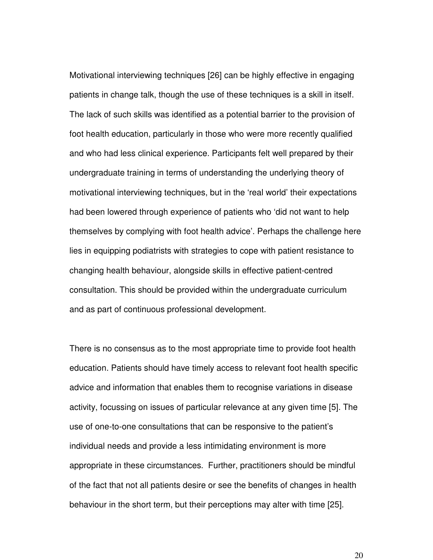Motivational interviewing techniques [26] can be highly effective in engaging patients in change talk, though the use of these techniques is a skill in itself. The lack of such skills was identified as a potential barrier to the provision of foot health education, particularly in those who were more recently qualified and who had less clinical experience. Participants felt well prepared by their undergraduate training in terms of understanding the underlying theory of motivational interviewing techniques, but in the 'real world' their expectations had been lowered through experience of patients who 'did not want to help themselves by complying with foot health advice'. Perhaps the challenge here lies in equipping podiatrists with strategies to cope with patient resistance to changing health behaviour, alongside skills in effective patient-centred consultation. This should be provided within the undergraduate curriculum and as part of continuous professional development.

There is no consensus as to the most appropriate time to provide foot health education. Patients should have timely access to relevant foot health specific advice and information that enables them to recognise variations in disease activity, focussing on issues of particular relevance at any given time [5]. The use of one-to-one consultations that can be responsive to the patient's individual needs and provide a less intimidating environment is more appropriate in these circumstances. Further, practitioners should be mindful of the fact that not all patients desire or see the benefits of changes in health behaviour in the short term, but their perceptions may alter with time [25].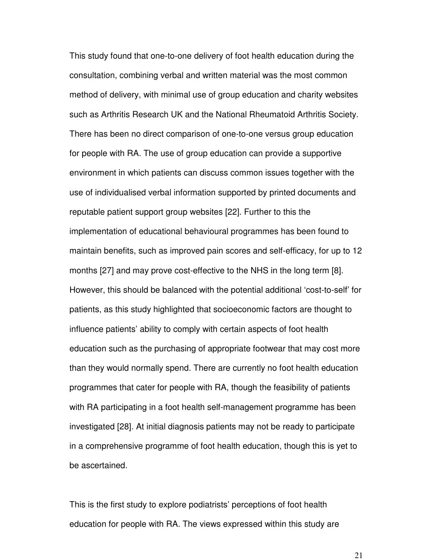This study found that one-to-one delivery of foot health education during the consultation, combining verbal and written material was the most common method of delivery, with minimal use of group education and charity websites such as Arthritis Research UK and the National Rheumatoid Arthritis Society. There has been no direct comparison of one-to-one versus group education for people with RA. The use of group education can provide a supportive environment in which patients can discuss common issues together with the use of individualised verbal information supported by printed documents and reputable patient support group websites [22]. Further to this the implementation of educational behavioural programmes has been found to maintain benefits, such as improved pain scores and self-efficacy, for up to 12 months [27] and may prove cost-effective to the NHS in the long term [8]. However, this should be balanced with the potential additional 'cost-to-self' for patients, as this study highlighted that socioeconomic factors are thought to influence patients' ability to comply with certain aspects of foot health education such as the purchasing of appropriate footwear that may cost more than they would normally spend. There are currently no foot health education programmes that cater for people with RA, though the feasibility of patients with RA participating in a foot health self-management programme has been investigated [28]. At initial diagnosis patients may not be ready to participate in a comprehensive programme of foot health education, though this is yet to be ascertained.

This is the first study to explore podiatrists' perceptions of foot health education for people with RA. The views expressed within this study are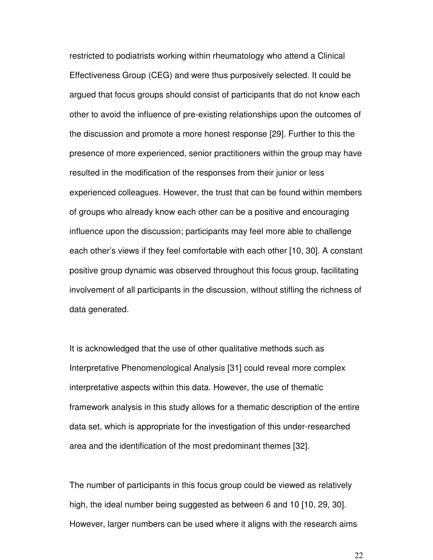restricted to podiatrists working within rheumatology who attend a Clinical Effectiveness Group (CEG) and were thus purposively selected. It could be argued that focus groups should consist of participants that do not know each other to avoid the influence of pre-existing relationships upon the outcomes of the discussion and promote a more honest response [29]. Further to this the presence of more experienced, senior practitioners within the group may have resulted in the modification of the responses from their junior or less experienced colleagues. However, the trust that can be found within members of groups who already know each other can be a positive and encouraging influence upon the discussion; participants may feel more able to challenge each other's views if they feel comfortable with each other [10, 30]. A constant positive group dynamic was observed throughout this focus group, facilitating involvement of all participants in the discussion, without stifling the richness of data generated.

It is acknowledged that the use of other qualitative methods such as Interpretative Phenomenological Analysis [31] could reveal more complex interpretative aspects within this data. However, the use of thematic framework analysis in this study allows for a thematic description of the entire data set, which is appropriate for the investigation of this under-researched area and the identification of the most predominant themes [32].

The number of participants in this focus group could be viewed as relatively high, the ideal number being suggested as between 6 and 10 [10, 29, 30]. However, larger numbers can be used where it aligns with the research aims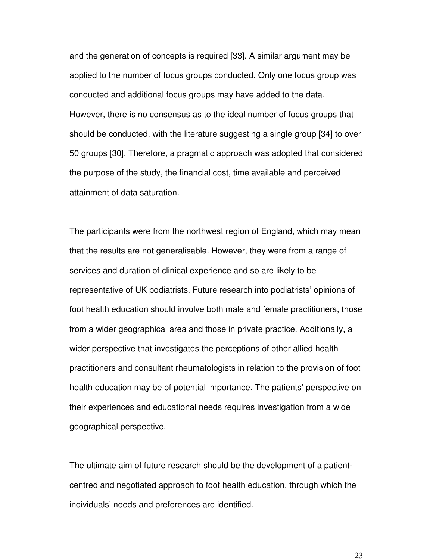and the generation of concepts is required [33]. A similar argument may be applied to the number of focus groups conducted. Only one focus group was conducted and additional focus groups may have added to the data. However, there is no consensus as to the ideal number of focus groups that should be conducted, with the literature suggesting a single group [34] to over 50 groups [30]. Therefore, a pragmatic approach was adopted that considered the purpose of the study, the financial cost, time available and perceived attainment of data saturation.

The participants were from the northwest region of England, which may mean that the results are not generalisable. However, they were from a range of services and duration of clinical experience and so are likely to be representative of UK podiatrists. Future research into podiatrists' opinions of foot health education should involve both male and female practitioners, those from a wider geographical area and those in private practice. Additionally, a wider perspective that investigates the perceptions of other allied health practitioners and consultant rheumatologists in relation to the provision of foot health education may be of potential importance. The patients' perspective on their experiences and educational needs requires investigation from a wide geographical perspective.

The ultimate aim of future research should be the development of a patientcentred and negotiated approach to foot health education, through which the individuals' needs and preferences are identified.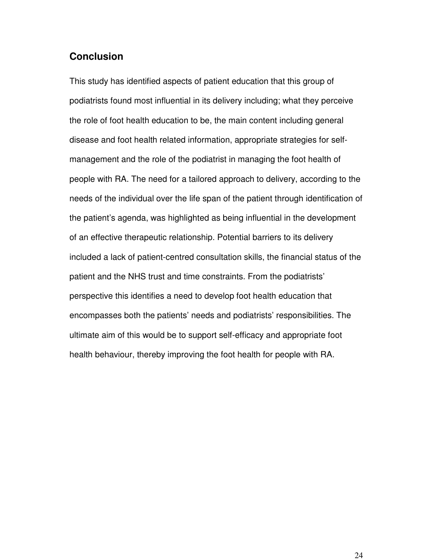### **Conclusion**

This study has identified aspects of patient education that this group of podiatrists found most influential in its delivery including; what they perceive the role of foot health education to be, the main content including general disease and foot health related information, appropriate strategies for selfmanagement and the role of the podiatrist in managing the foot health of people with RA. The need for a tailored approach to delivery, according to the needs of the individual over the life span of the patient through identification of the patient's agenda, was highlighted as being influential in the development of an effective therapeutic relationship. Potential barriers to its delivery included a lack of patient-centred consultation skills, the financial status of the patient and the NHS trust and time constraints. From the podiatrists' perspective this identifies a need to develop foot health education that encompasses both the patients' needs and podiatrists' responsibilities. The ultimate aim of this would be to support self-efficacy and appropriate foot health behaviour, thereby improving the foot health for people with RA.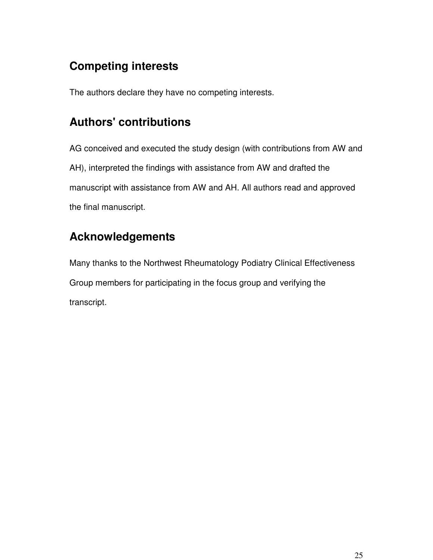# **Competing interests**

The authors declare they have no competing interests.

# **Authors' contributions**

AG conceived and executed the study design (with contributions from AW and AH), interpreted the findings with assistance from AW and drafted the manuscript with assistance from AW and AH. All authors read and approved the final manuscript.

# **Acknowledgements**

Many thanks to the Northwest Rheumatology Podiatry Clinical Effectiveness Group members for participating in the focus group and verifying the transcript.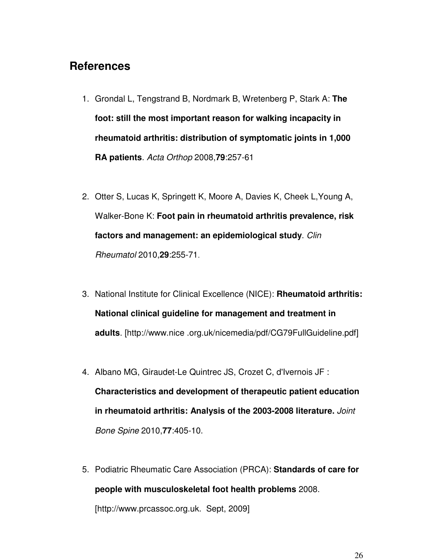# **References**

- 1. Grondal L, Tengstrand B, Nordmark B, Wretenberg P, Stark A: **The foot: still the most important reason for walking incapacity in rheumatoid arthritis: distribution of symptomatic joints in 1,000 RA patients**. *Acta Orthop* 2008,**79**:257-61
- 2. Otter S, Lucas K, Springett K, Moore A, Davies K, Cheek L,Young A, Walker-Bone K: **Foot pain in rheumatoid arthritis prevalence, risk factors and management: an epidemiological study**. *Clin Rheumatol* 2010,**29**:255-71.
- 3. National Institute for Clinical Excellence (NICE): **Rheumatoid arthritis: National clinical guideline for management and treatment in adults**. [http://www.nice .org.uk/nicemedia/pdf/CG79FullGuideline.pdf]
- 4. Albano MG, Giraudet-Le Quintrec JS, Crozet C, d'Ivernois JF : **Characteristics and development of therapeutic patient education in rheumatoid arthritis: Analysis of the 2003-2008 literature.** *Joint Bone Spine* 2010,**77**:405-10.
- 5. Podiatric Rheumatic Care Association (PRCA): **Standards of care for people with musculoskeletal foot health problems** 2008. [http://www.prcassoc.org.uk. Sept, 2009]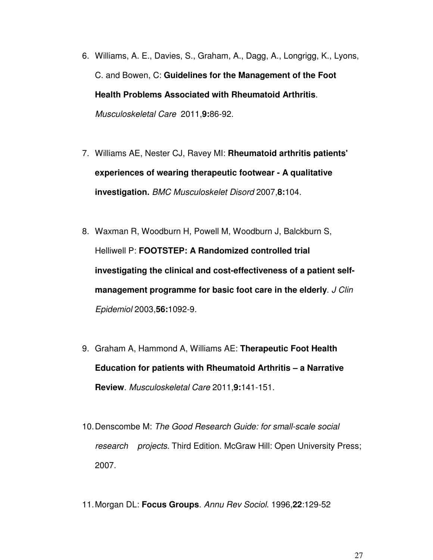- 6. Williams, A. E., Davies, S., Graham, A., Dagg, A., Longrigg, K., Lyons, C. and Bowen, C: **Guidelines for the Management of the Foot Health Problems Associated with Rheumatoid Arthritis**. *Musculoskeletal Care* 2011,**9:**86-92.
- 7. Williams AE, Nester CJ, Ravey MI: **Rheumatoid arthritis patients' experiences of wearing therapeutic footwear - A qualitative investigation.** *BMC Musculoskelet Disord* 2007,**8:**104.
- 8. Waxman R, Woodburn H, Powell M, Woodburn J, Balckburn S, Helliwell P: **FOOTSTEP: A Randomized controlled trial investigating the clinical and cost-effectiveness of a patient selfmanagement programme for basic foot care in the elderly**. *J Clin Epidemiol* 2003,**56:**1092-9.
- 9. Graham A, Hammond A, Williams AE: **Therapeutic Foot Health Education for patients with Rheumatoid Arthritis – a Narrative Review**. *Musculoskeletal Care* 2011,**9:**141-151.
- 10. Denscombe M: *The Good Research Guide: for small-scale social research projects.* Third Edition. McGraw Hill: Open University Press; 2007.
- 11. Morgan DL: **Focus Groups**. *Annu Rev Sociol*. 1996,**22**:129-52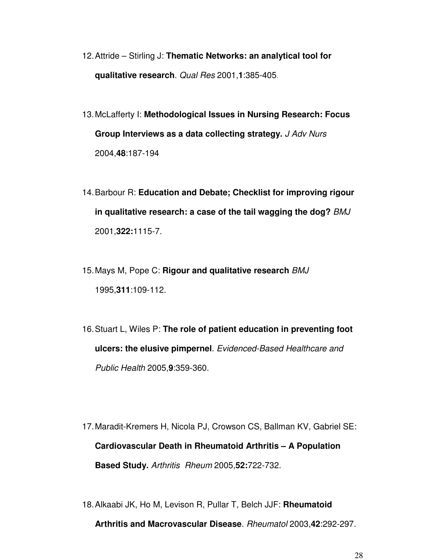- 12. Attride Stirling J: **Thematic Networks: an analytical tool for qualitative research**. *Qual Res* 2001,**1**:385-405*.*
- 13. McLafferty I: **Methodological Issues in Nursing Research: Focus Group Interviews as a data collecting strategy.** *J Adv Nurs* 2004,**48**:187-194
- 14. Barbour R: **Education and Debate; Checklist for improving rigour in qualitative research: a case of the tail wagging the dog?** *BMJ* 2001,**322:**1115-7.
- 15. Mays M, Pope C: **Rigour and qualitative research** *BMJ*  1995,**311**:109-112.
- 16. Stuart L, Wiles P: **The role of patient education in preventing foot ulcers: the elusive pimpernel**. *Evidenced-Based Healthcare and Public Health* 2005,**9**:359-360.
- 17. Maradit-Kremers H, Nicola PJ, Crowson CS, Ballman KV, Gabriel SE: **Cardiovascular Death in Rheumatoid Arthritis – A Population Based Study.** *Arthritis Rheum* 2005,**52:**722-732.
- 18. Alkaabi JK, Ho M, Levison R, Pullar T, Belch JJF: **Rheumatoid Arthritis and Macrovascular Disease**. *Rheumatol* 2003,**42**:292-297.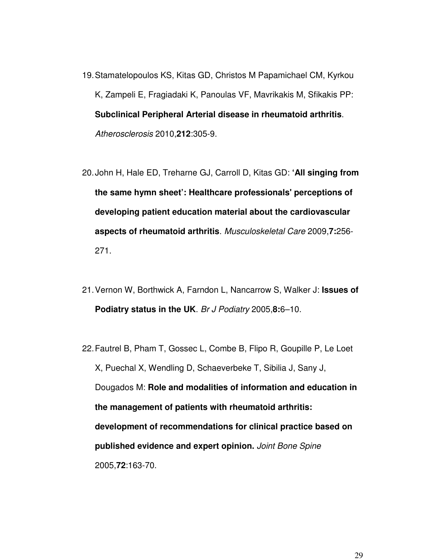- 19. Stamatelopoulos KS, Kitas GD, Christos M Papamichael CM, Kyrkou K, Zampeli E, Fragiadaki K, Panoulas VF, Mavrikakis M, Sfikakis PP: **Subclinical Peripheral Arterial disease in rheumatoid arthritis**. *Atherosclerosis* 2010,**212**:305-9.
- 20. John H, Hale ED, Treharne GJ, Carroll D, Kitas GD: **'All singing from the same hymn sheet': Healthcare professionals' perceptions of developing patient education material about the cardiovascular aspects of rheumatoid arthritis**. *Musculoskeletal Care* 2009,**7:**256- 271.
- 21. Vernon W, Borthwick A, Farndon L, Nancarrow S, Walker J: **Issues of Podiatry status in the UK**. *Br J Podiatry* 2005,**8:**6–10.
- 22. Fautrel B, Pham T, Gossec L, Combe B, Flipo R, Goupille P, Le Loet X, Puechal X, Wendling D, Schaeverbeke T, Sibilia J, Sany J, Dougados M: **Role and modalities of information and education in the management of patients with rheumatoid arthritis: development of recommendations for clinical practice based on published evidence and expert opinion.** *Joint Bone Spine* 2005,**72**:163-70.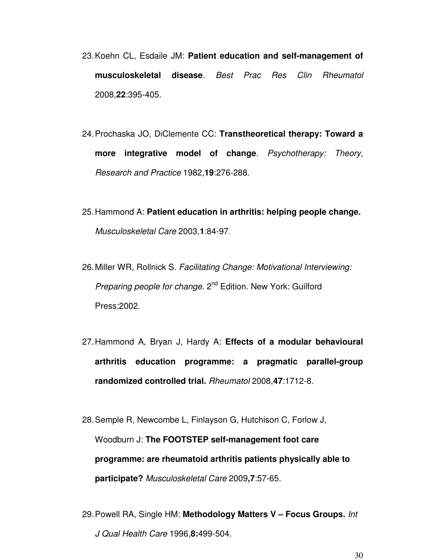- 23. Koehn CL, Esdaile JM: **Patient education and self-management of musculoskeletal disease**. *Best Prac Res Clin Rheumatol* 2008,**22**:395-405.
- 24. Prochaska JO, DiClemente CC: **Transtheoretical therapy: Toward a more integrative model of change**. *Psychotherapy: Theory, Research and Practice* 1982,**19**:276-288.
- 25. Hammond A: **Patient education in arthritis: helping people change.**  *Musculoskeletal Care* 2003,**1**:84-97.
- 26. Miller WR, Rollnick S. *Facilitating Change: Motivational Interviewing: Preparing people for change*. 2<sup>nd</sup> Edition. New York: Guilford Press;2002.
- 27. Hammond A, Bryan J, Hardy A: **Effects of a modular behavioural arthritis education programme: a pragmatic parallel-group randomized controlled trial.** *Rheumatol* 2008,**47**:1712-8.
- 28. Semple R, Newcombe L, Finlayson G, Hutchison C, Forlow J, Woodburn J: **The FOOTSTEP self-management foot care programme: are rheumatoid arthritis patients physically able to participate?** *Musculoskeletal Care* 2009**,7**:57-65.
- 29. Powell RA, Single HM: **Methodology Matters V Focus Groups.** *Int J Qual Health Care* 1996,**8:**499-504.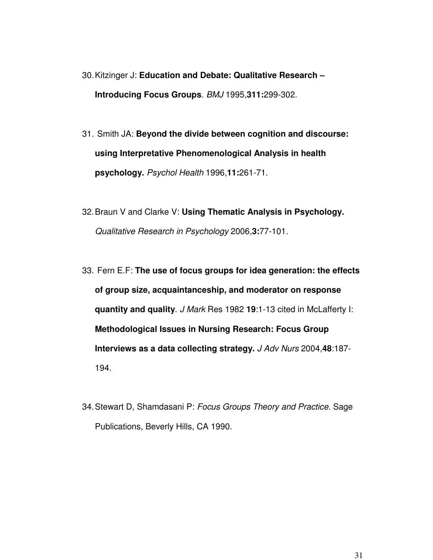- 30. Kitzinger J: **Education and Debate: Qualitative Research Introducing Focus Groups**. *BMJ* 1995,**311:**299-302.
- 31. Smith JA: **Beyond the divide between cognition and discourse: using Interpretative Phenomenological Analysis in health psychology.** *Psychol Health* 1996,**11:**261-71.
- 32. Braun V and Clarke V: **Using Thematic Analysis in Psychology.** *Qualitative Research in Psychology* 2006,**3:**77-101.
- 33. Fern E.F: **The use of focus groups for idea generation: the effects of group size, acquaintanceship, and moderator on response quantity and quality**. *J Mark* Res 1982 **19**:1-13 cited in McLafferty I: **Methodological Issues in Nursing Research: Focus Group Interviews as a data collecting strategy.** *J Adv Nurs* 2004,**48**:187- 194.
- 34. Stewart D, Shamdasani P: *Focus Groups Theory and Practice.* Sage Publications, Beverly Hills, CA 1990.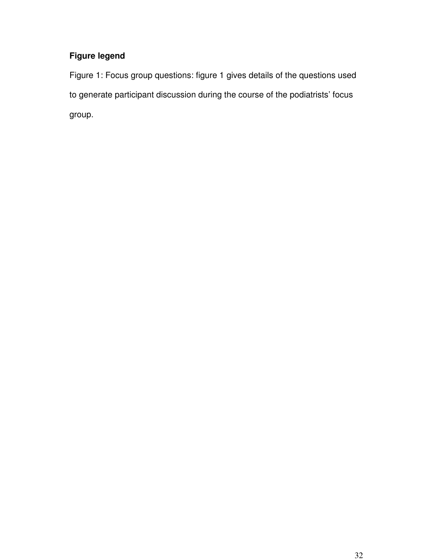### **Figure legend**

Figure 1: Focus group questions: figure 1 gives details of the questions used to generate participant discussion during the course of the podiatrists' focus group.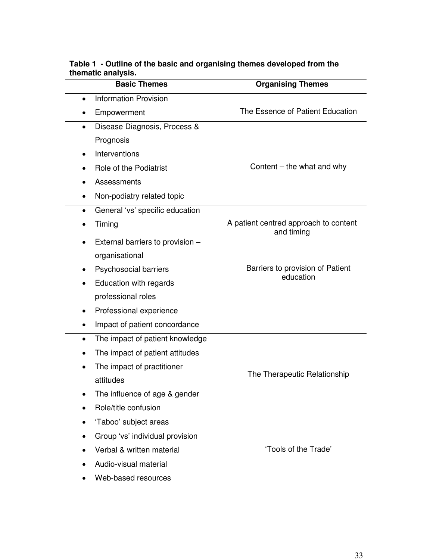| <b>Basic Themes</b>                           | <b>Organising Themes</b>                            |  |
|-----------------------------------------------|-----------------------------------------------------|--|
| <b>Information Provision</b><br>$\bullet$     |                                                     |  |
| Empowerment<br>$\bullet$                      | The Essence of Patient Education                    |  |
| Disease Diagnosis, Process &<br>$\bullet$     |                                                     |  |
| Prognosis                                     |                                                     |  |
| Interventions<br>$\bullet$                    | Content - the what and why                          |  |
| Role of the Podiatrist                        |                                                     |  |
| Assessments                                   |                                                     |  |
| Non-podiatry related topic<br>٠               |                                                     |  |
| General 'vs' specific education<br>$\bullet$  |                                                     |  |
| Timing                                        | A patient centred approach to content<br>and timing |  |
| External barriers to provision -<br>$\bullet$ |                                                     |  |
| organisational                                |                                                     |  |
| Psychosocial barriers<br>$\bullet$            | Barriers to provision of Patient<br>education       |  |
| Education with regards<br>$\bullet$           |                                                     |  |
| professional roles                            |                                                     |  |
| Professional experience<br>٠                  |                                                     |  |
| Impact of patient concordance<br>$\bullet$    |                                                     |  |
| The impact of patient knowledge<br>$\bullet$  |                                                     |  |
| The impact of patient attitudes               |                                                     |  |
| The impact of practitioner<br>$\bullet$       | The Therapeutic Relationship                        |  |
| attitudes                                     |                                                     |  |
| The influence of age & gender                 |                                                     |  |
| Role/title confusion                          |                                                     |  |
| 'Taboo' subject areas                         |                                                     |  |
| Group 'vs' individual provision<br>$\bullet$  |                                                     |  |
| Verbal & written material                     | 'Tools of the Trade'                                |  |
| Audio-visual material                         |                                                     |  |
| Web-based resources                           |                                                     |  |

#### **Table 1 - Outline of the basic and organising themes developed from the thematic analysis.**